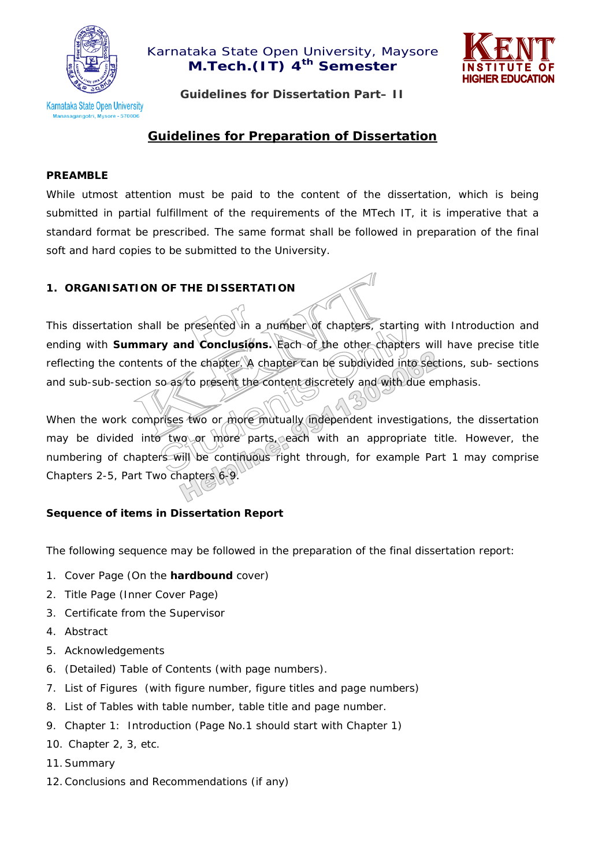



**Guidelines for Dissertation Part– II** 

# **Guidelines for Preparation of Dissertation**

#### **PREAMBLE**

While utmost attention must be paid to the content of the dissertation, which is being submitted in partial fulfillment of the requirements of the MTech IT, it is imperative that a standard format be prescribed. The same format shall be followed in preparation of the final soft and hard copies to be submitted to the University.

#### **1. ORGANISATION OF THE DISSERTATION**

This dissertation shall be presented in a number of *chapters, starting* with Introduction and ending with **Summary and Conclusions.** Each of the other chapters will have precise title reflecting the contents of the chapter. A chapter can be subdivided into *sections, sub- sections*  and sub-sub-section so as/to present the content discretely and with due emphasis.

When the work comprises two or more mutually independent investigations, the dissertation may be divided into two or more parts, each with an appropriate title. However, the numbering of chapters will be continuous right through, for example Part 1 may comprise Chapters 2-5, Part Two chapters 6-9.

#### **Sequence of items in Dissertation Report**

The following sequence may be followed in the preparation of the final dissertation report:

- 1. Cover Page (On the **hardbound** cover)
- 2. Title Page (Inner Cover Page)
- 3. Certificate from the Supervisor
- 4. Abstract
- 5. Acknowledgements
- 6. (Detailed) Table of Contents (with page numbers).
- 7. List of Figures (with figure number, figure titles and page numbers)
- 8. List of Tables with table number, table title and page number.
- 9. Chapter 1: Introduction (Page No.1 should start with Chapter 1)
- 10. Chapter 2, 3, etc.
- 11.Summary
- 12.Conclusions and Recommendations (if any)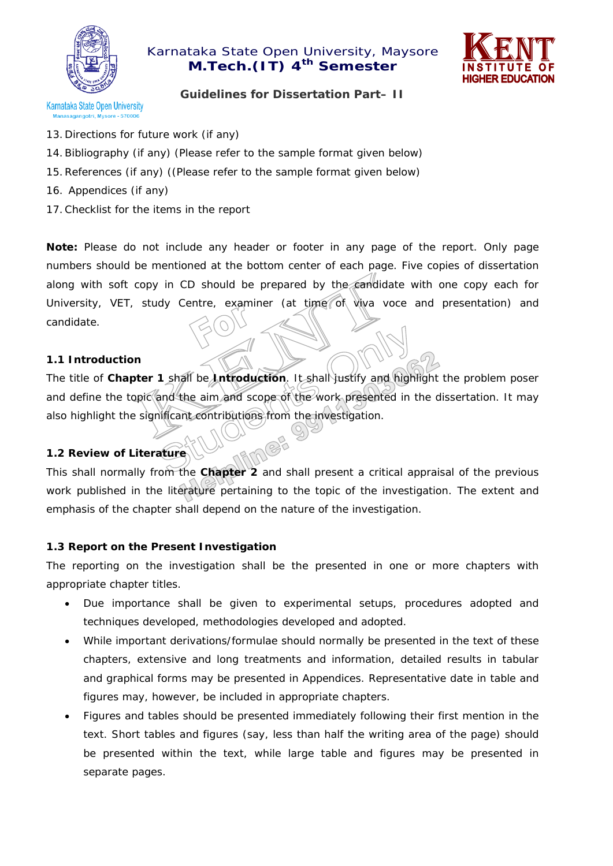

# Karnataka State Open University, Maysore **M.Tech.(IT) 4<sup>th</sup> Semester**



# **Guidelines for Dissertation Part– II**

- 13. Directions for future work (if any)
- 14.Bibliography (if any) (Please refer to the sample format given below)
- 15.References (if any) ((Please refer to the sample format given below)
- 16. Appendices (if any)
- 17.Checklist for the items in the report

**Note:** Please do not include any header or footer in any page of the report. Only page numbers should be mentioned at the bottom center of each page. Five copies of dissertation along with soft copy in CD should be prepared by the candidate with one copy each for University, VET, study Centre, examiner (at time of viva voce and presentation) and candidate.

#### **1.1 Introduction**

The title of **Chapter 1** shall be **Introduction**. It shall justify and highlight the problem poser and define the topic and the aim and scope of the work presented in the dissertation. It may also highlight the significant contributions from the investigation.

#### **1.2 Review of Literature**

This shall normally from the **Chapter 2** and shall present a critical appraisal of the previous work published in the literature pertaining to the topic of the investigation. The extent and emphasis of the chapter shall depend on the nature of the investigation.

#### **1.3 Report on the Present Investigation**

The reporting on the investigation shall be the presented in one or more chapters with appropriate chapter titles.

- Due importance shall be given to experimental setups, procedures adopted and techniques developed, methodologies developed and adopted.
- While important derivations/formulae should normally be presented in the text of these chapters, extensive and long treatments and information, detailed results in tabular and graphical forms may be presented in Appendices. Representative date in table and figures may, however, be included in appropriate chapters.
- Figures and tables should be presented immediately following their first mention in the text. Short tables and figures (say, less than half the writing area of the page) should be presented within the text, while large table and figures may be presented in separate pages.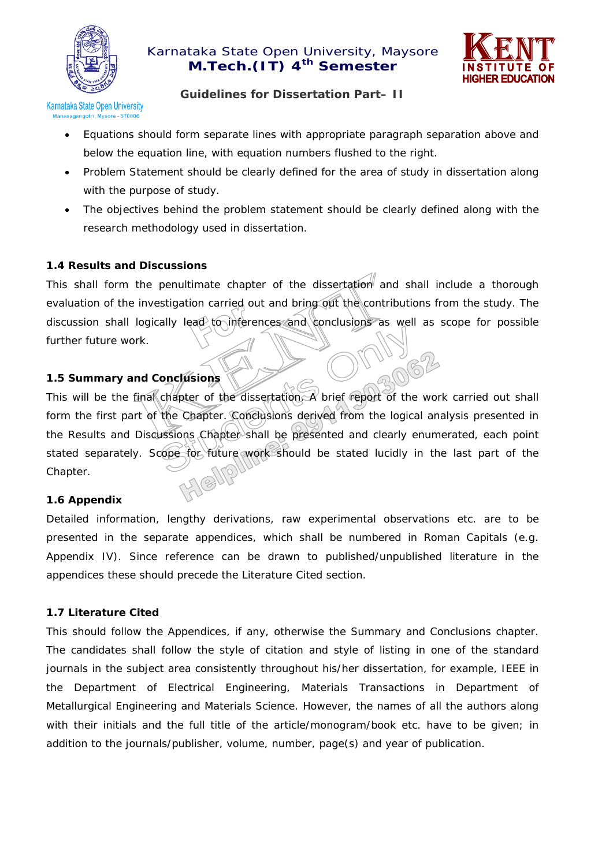



## **Guidelines for Dissertation Part– II**

- Equations should form separate lines with appropriate paragraph separation above and below the equation line, with equation numbers flushed to the right.
- Problem Statement should be clearly defined for the area of study in dissertation along with the purpose of study.
- The objectives behind the problem statement should be clearly defined along with the research methodology used in dissertation.

## **1.4 Results and Discussions**

This shall form the penultimate chapter of the dissertation and shall include a thorough evaluation of the investigation carried out and bring out the contributions from the study. The discussion shall logically lead to inferences and conclusions as well as scope for possible further future work.

## **1.5 Summary and Conclusions**

This will be the final chapter of the dissertation. A brief report of the work carried out shall form the first part of the Chapter. Conclusions derived from the logical analysis presented in the Results and Discussions Chapter shall be presented and clearly enumerated, each point stated separately. Scope for future work should be stated lucidly in the last part of the Chapter.

#### **1.6 Appendix**

Detailed information, lengthy derivations, raw experimental observations etc. are to be presented in the separate appendices, which shall be numbered in Roman Capitals (e.g. Appendix IV). Since reference can be drawn to published/unpublished literature in the appendices these should precede the Literature Cited section.

#### **1.7 Literature Cited**

This should follow the Appendices, if any, otherwise the Summary and Conclusions chapter. The candidates shall follow the style of citation and style of listing in one of the standard journals in the subject area consistently throughout his/her dissertation, for example, IEEE in the Department of Electrical Engineering, Materials Transactions in Department of Metallurgical Engineering and Materials Science. However, the names of all the authors along with their initials and the full title of the article/monogram/book etc. have to be given; in addition to the journals/publisher, volume, number, page(s) and year of publication.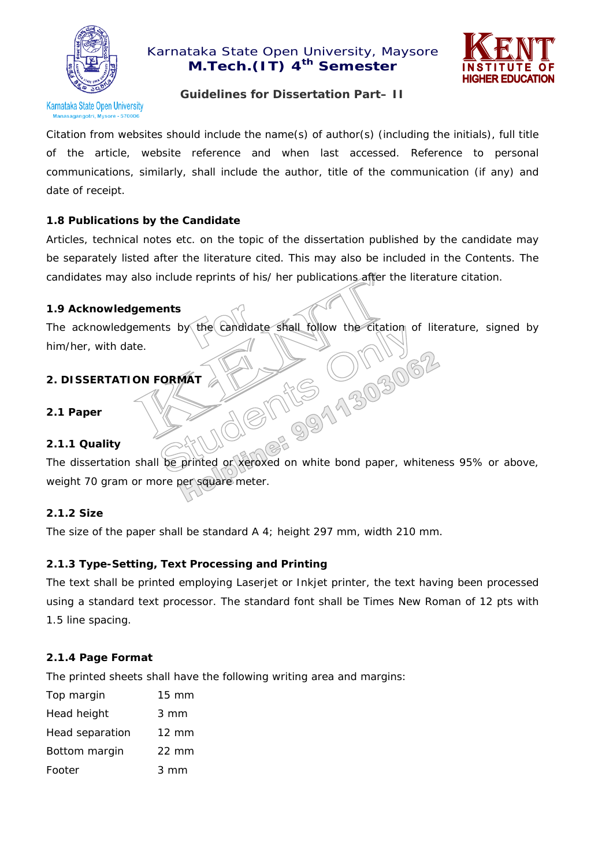

# Karnataka State Open University, Maysore **M.Tech.**(IT) 4<sup>th</sup> Semester



## **Guidelines for Dissertation Part– II**

Citation from websites should include the name(s) of author(s) (including the initials), full title of the article, website reference and when last accessed. Reference to personal communications, similarly, shall include the author, title of the communication (if any) and date of receipt.

#### **1.8 Publications by the Candidate**

Articles, technical notes etc. on the topic of the dissertation published by the candidate may be separately listed after the literature cited. This may also be included in the Contents. The candidates may also include reprints of his/ her publications after the literature citation.

#### **1.9 Acknowledgements**

The acknowledgements by the candidate shall follow the citation of literature, signed by **15 011962** him/her, with date.

#### **2. DISSERTATION FORMAT**

**2.1 Paper** 

#### **2.1.1 Quality**

The dissertation shall be printed or xeroxed on white bond paper, whiteness 95% or above, weight 70 gram or more per square meter.

#### **2.1.2 Size**

The size of the paper shall be standard A 4; height 297 mm, width 210 mm.

#### **2.1.3 Type-Setting, Text Processing and Printing**

The text shall be printed employing Laserjet or Inkjet printer, the text having been processed using a standard text processor. The standard font shall be Times New Roman of 12 pts with 1.5 line spacing.

#### **2.1.4 Page Format**

The printed sheets shall have the following writing area and margins:

| Top margin      | $15 \text{ mm}$  |
|-----------------|------------------|
| Head height     | $3 \, \text{mm}$ |
| Head separation | $12 \text{ mm}$  |
| Bottom margin   | 22 mm            |
| Footer          | $3 \text{ mm}$   |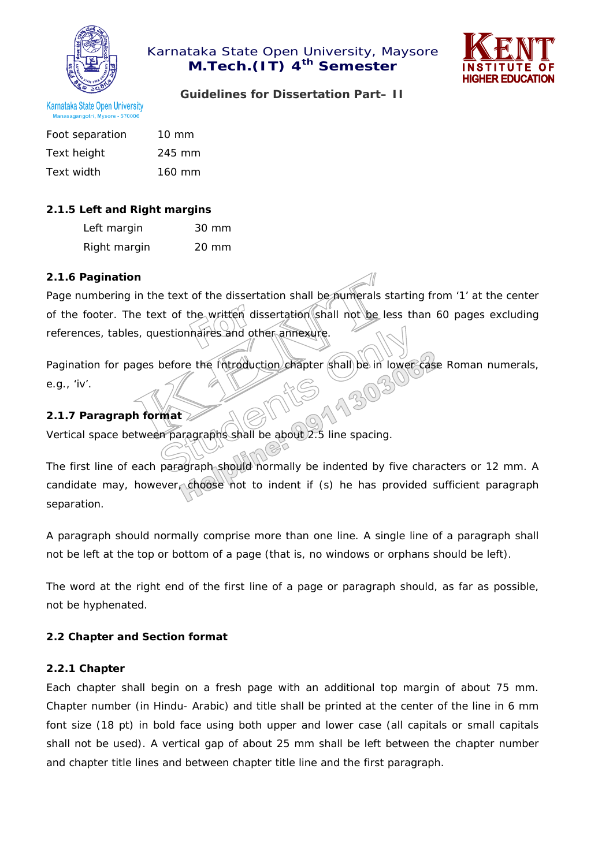



**Guidelines for Dissertation Part– II** 

| <b>Karnataka State Open University</b> |  |
|----------------------------------------|--|
| Manasagangotri, Mysore - 570006        |  |
|                                        |  |

| Foot separation | $10 \text{ mm}$  |
|-----------------|------------------|
| Text height     | 245 mm           |
| Text width      | $160 \text{ mm}$ |

## **2.1.5 Left and Right margins**

| Left margin  | 30 mm |
|--------------|-------|
| Right margin | 20 mm |

#### **2.1.6 Pagination**

Page numbering in the text of the dissertation shall be numerals starting from '1' at the center of the footer. The text of the written dissertation shall not be less than 60 pages excluding references, tables, questionnaires and other annexure.

Pagination for pages before the Introduction chapter shall be in lower case Roman numerals, e.g., 'iv'.

## **2.1.7 Paragraph format**

Vertical space between paragraphs shall be about 2.5 line spacing.

The first line of each paragraph should normally be indented by five characters or 12 mm. A candidate may, however, choose not to indent if (s) he has provided sufficient paragraph separation.

A paragraph should normally comprise more than one line. A single line of a paragraph shall not be left at the top or bottom of a page (that is, no windows or orphans should be left).

The word at the right end of the first line of a page or paragraph should, as far as possible, not be hyphenated.

#### **2.2 Chapter and Section format**

#### **2.2.1 Chapter**

Each chapter shall begin on a fresh page with an additional top margin of about 75 mm. Chapter number (in Hindu- Arabic) and title shall be printed at the center of the line in 6 mm font size (18 pt) in bold face using both upper and lower case (all capitals or small capitals shall not be used). A vertical gap of about 25 mm shall be left between the chapter number and chapter title lines and between chapter title line and the first paragraph.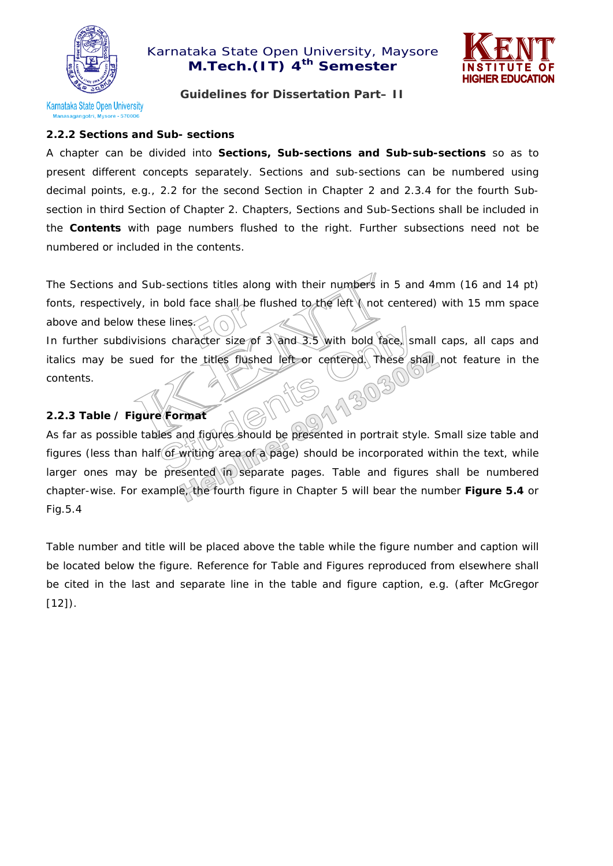

# Karnataka State Open University, Maysore **M.Tech.(IT) 4<sup>th</sup> Semester**



**Guidelines for Dissertation Part– II** 

# **2.2.2 Sections and Sub- sections**

A chapter can be divided into **Sections, Sub-sections and Sub-sub-sections** so as to present different concepts separately. Sections and sub-sections can be numbered using decimal points, e.g., 2.2 for the second Section in Chapter 2 and 2.3.4 for the fourth Subsection in third Section of Chapter 2. Chapters, Sections and Sub-Sections shall be included in the *Contents* with page numbers flushed to the right. Further subsections need not be numbered or included in the contents.

The Sections and Sub-sections titles along with their numbers in 5 and 4mm (16 and 14 pt) fonts, respectively, in bold face shall be flushed to the left \ not centered) with 15 mm space above and below these lines.

In further subdivisions character size of 3 and 3.5 with bold face, small caps, all caps and italics may be sued for the titles flushed left or centered. These shall not feature in the contents.

## **2.2.3 Table / Figure Format**

As far as possible tables and figures should be presented in portrait style. Small size table and figures (less than half of writing area of a page) should be incorporated within the text, while larger ones may be presented in separate pages. Table and figures shall be numbered chapter-wise. For example, the fourth figure in Chapter 5 will bear the number **Figure 5.4** or *Fig.5.4* 

Table number and title will be placed above the table while the figure number and caption will be located below the figure. Reference for Table and Figures reproduced from elsewhere shall be cited in the last and separate line in the table and figure caption, e.g. (after McGregor  $[12]$ ).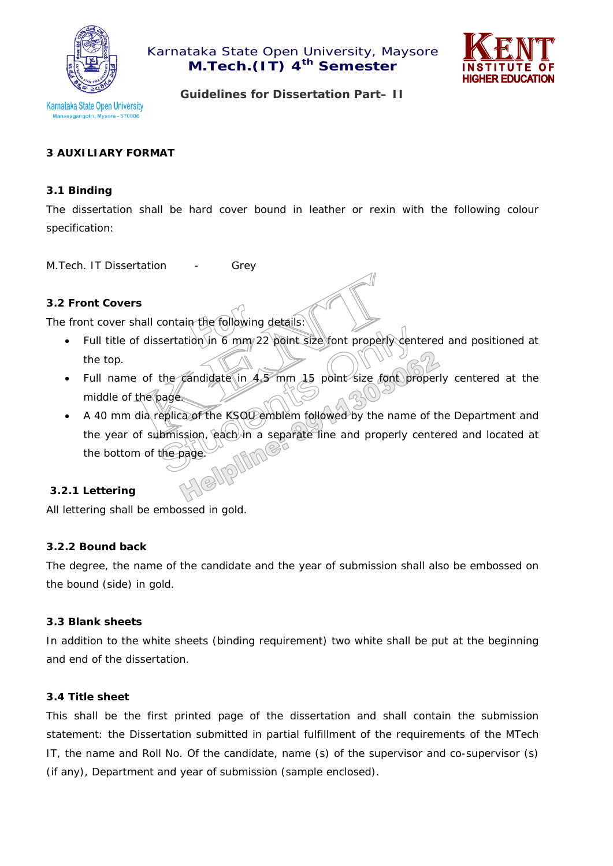



**Guidelines for Dissertation Part– II** 

## **3 AUXILIARY FORMAT**

#### **3.1 Binding**

The dissertation shall be hard cover bound in leather or rexin with the following colour specification:

M.Tech. IT Dissertation - Grev

#### **3.2 Front Covers**

The front cover shall contain the following details:

- Full title of dissertation in 6 mm/22 point size font properly dentered and positioned at the top.
- Full name of the candidate in  $4.5$  mm 15 point size font properly centered at the middle of the page.
- A 40 mm dia replica of the KSOU emblem followed by the name of the Department and the year of submission, each in a separate line and properly centered and located at the bottom of the page.

#### **3.2.1 Lettering**

All lettering shall be embossed in gold.

#### **3.2.2 Bound back**

The degree, the name of the candidate and the year of submission shall also be embossed on the bound (side) in gold.

#### **3.3 Blank sheets**

In addition to the white sheets (binding requirement) two white shall be put at the beginning and end of the dissertation.

#### **3.4 Title sheet**

This shall be the first printed page of the dissertation and shall contain the submission statement: the Dissertation submitted in partial fulfillment of the requirements of the MTech IT, the name and Roll No. Of the candidate, name (s) of the supervisor and co-supervisor (s) (if any), Department and year of submission (sample enclosed).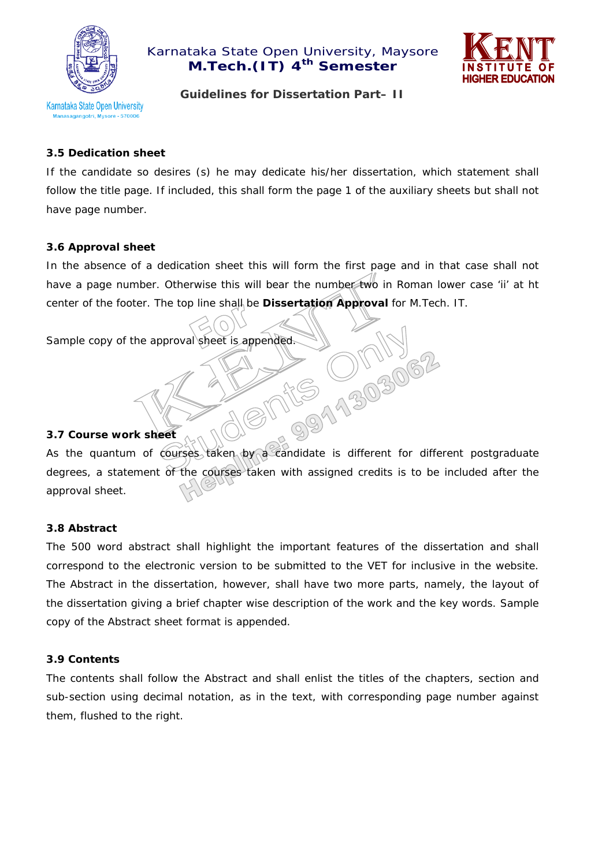



**Guidelines for Dissertation Part– II** 

#### **3.5 Dedication sheet**

If the candidate so desires (s) he may dedicate his/her dissertation, which statement shall follow the title page. If included, this shall form the page 1 of the auxiliary sheets but shall not have page number.

#### **3.6 Approval sheet**

In the absence of a dedication sheet this will form the first page and in that case shall not have a page number. Otherwise this will bear the number two in Roman lower case 'ii' at ht center of the footer. The top line shall be **Dissertation Approval** for M.Tech. IT.

Sample copy of the approval sheet is appended.

#### **3.7 Course work sheet**

As the quantum of courses taken by a candidate is different for different postgraduate degrees, a statement of the courses taken with assigned credits is to be included after the approval sheet.

#### **3.8 Abstract**

The 500 word abstract shall highlight the important features of the dissertation and shall correspond to the electronic version to be submitted to the VET for inclusive in the website. The *Abstract* in the dissertation, however, shall have two more parts, namely, the layout of the dissertation giving a brief chapter wise description of the work and the key words. Sample copy of the Abstract sheet format is appended.

#### **3.9 Contents**

The contents shall follow the Abstract and shall enlist the titles of the chapters, section and sub-section using decimal notation, as in the text, with corresponding page number against them, flushed to the right.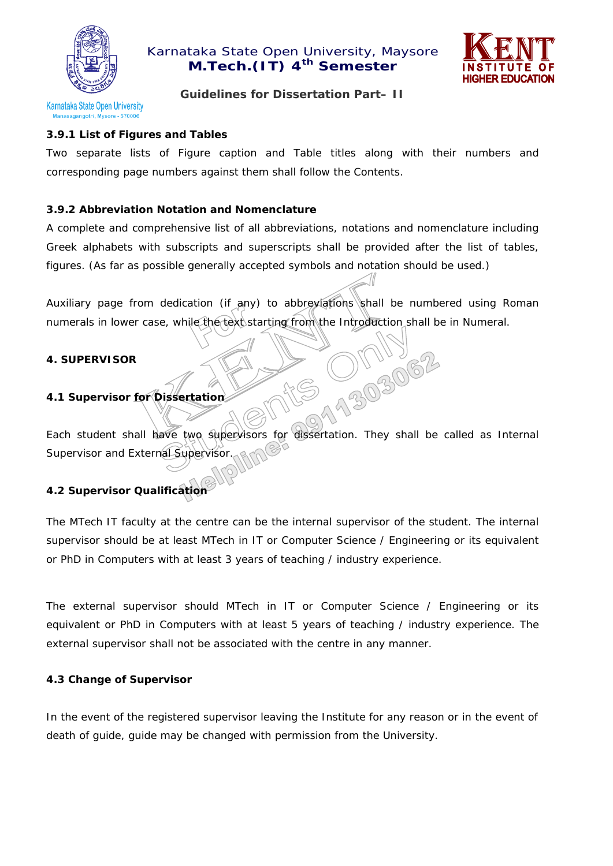



#### **Guidelines for Dissertation Part– II**

# **3.9.1 List of Figures and Tables**

Two separate lists of Figure caption and Table titles along with their numbers and corresponding page numbers against them shall follow the Contents.

## **3.9.2 Abbreviation Notation and Nomenclature**

A complete and comprehensive list of all abbreviations, notations and nomenclature including Greek alphabets with subscripts and superscripts shall be provided after the list of tables, figures. (As far as possible generally accepted symbols and notation should be used.)

Auxiliary page from dedication (if any) to abbreviations shall be numbered using Roman numerals in lower case, while the text starting from the Introduction shall be in Numeral.

JINY<br>1303062

#### **4. SUPERVISOR**

## **4.1 Supervisor for Dissertation**

Each student shall have two supervisors for dissertation. They shall be called as Internal Supervisor and External Supervisor

## **4.2 Supervisor Qualification**

The MTech IT faculty at the centre can be the internal supervisor of the student. The internal supervisor should be at least MTech in IT or Computer Science / Engineering or its equivalent or PhD in Computers with at least 3 years of teaching / industry experience.

The external supervisor should MTech in IT or Computer Science / Engineering or its equivalent or PhD in Computers with at least 5 years of teaching / industry experience. The external supervisor shall not be associated with the centre in any manner.

#### **4.3 Change of Supervisor**

In the event of the registered supervisor leaving the Institute for any reason or in the event of death of guide, guide may be changed with permission from the University.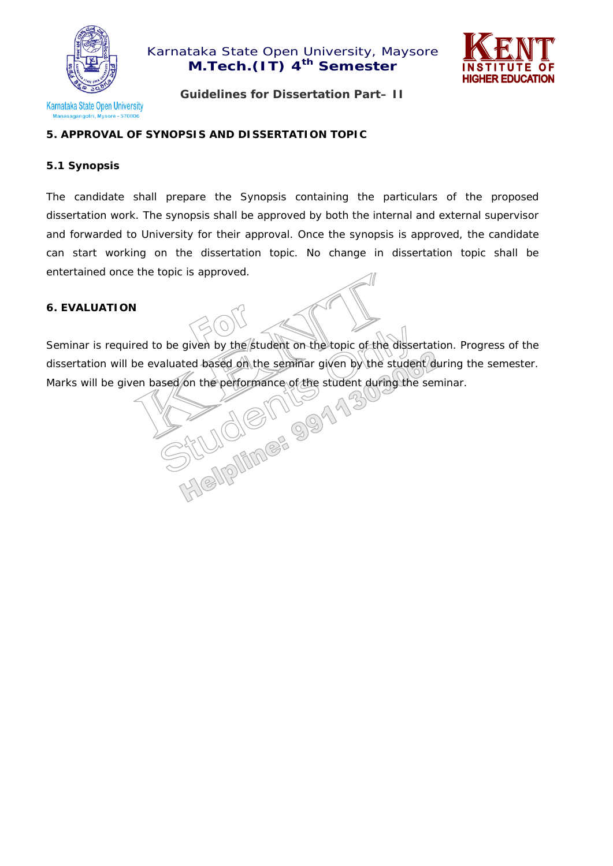



**Guidelines for Dissertation Part– II** 

## **5. APPROVAL OF SYNOPSIS AND DISSERTATION TOPIC**

#### **5.1 Synopsis**

The candidate shall prepare the Synopsis containing the particulars of the proposed dissertation work. The synopsis shall be approved by both the internal and external supervisor and forwarded to University for their approval. Once the synopsis is approved, the candidate can start working on the dissertation topic. No change in dissertation topic shall be entertained once the topic is approved.

#### **6. EVALUATION**

Seminar is required to be given by the student on the topic of the dissertation. Progress of the dissertation will be evaluated based on the seminar given by the student during the semester.<br>Marks will be given based on the performance of the student during the seminar.<br>All public of the student during the seminar. Marks will be given based/on the performance of the student during the seminar.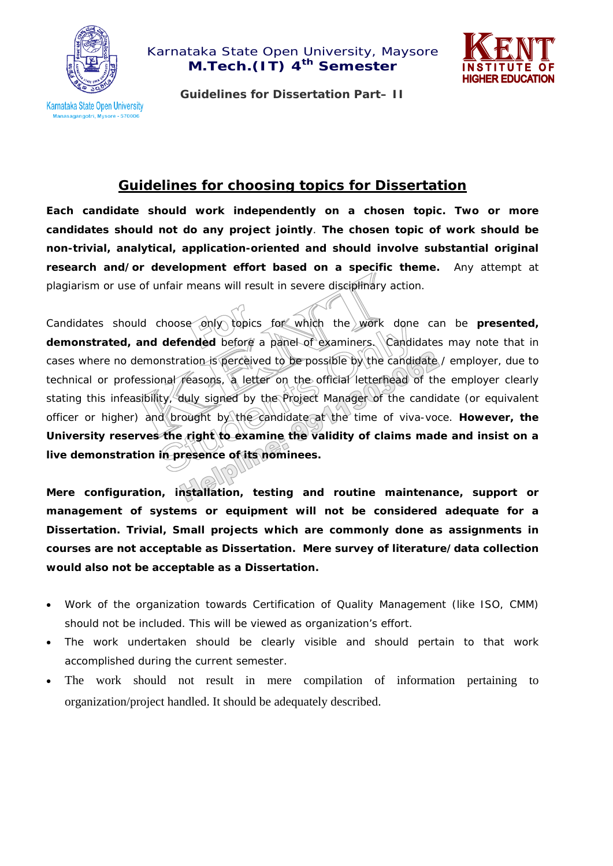



**Guidelines for Dissertation Part– II** 

# **Guidelines for choosing topics for Dissertation**

**Each candidate should work independently on a chosen topic. Two or more candidates should not do any project jointly**. **The chosen topic of work should be non-trivial, analytical, application-oriented and should involve substantial original research and/or development effort based on a specific theme.** Any attempt at plagiarism or use of unfair means will result in severe disciplinary action.

Candidates should choose only topics for which the work done can be **presented, demonstrated, and defended** before a panel of examiners. Candidates may note that in cases where no demonstration is perceived to be possible by the candidate / employer, due to technical or professional reasons, a letter on the official letterhead of the employer clearly stating this infeasibility, duly signed by the Project Manager of the candidate (or equivalent officer or higher) and brought by the candidate at the time of viva-voce. **However, the**  University reserves the right to examine the validity of claims made and insist on a **live demonstration in presence of its nominees.** 

**Mere configuration, installation, testing and routine maintenance, support or management of systems or equipment will not be considered adequate for a Dissertation. Trivial, Small projects which are commonly done as assignments in courses are not acceptable as Dissertation. Mere survey of literature/data collection would also not be acceptable as a Dissertation.** 

- Work of the organization towards Certification of Quality Management (like ISO, CMM) should not be included. This will be viewed as organization's effort.
- The work undertaken should be clearly visible and should pertain to that work accomplished during the current semester.
- The work should not result in mere compilation of information pertaining to organization/project handled. It should be adequately described.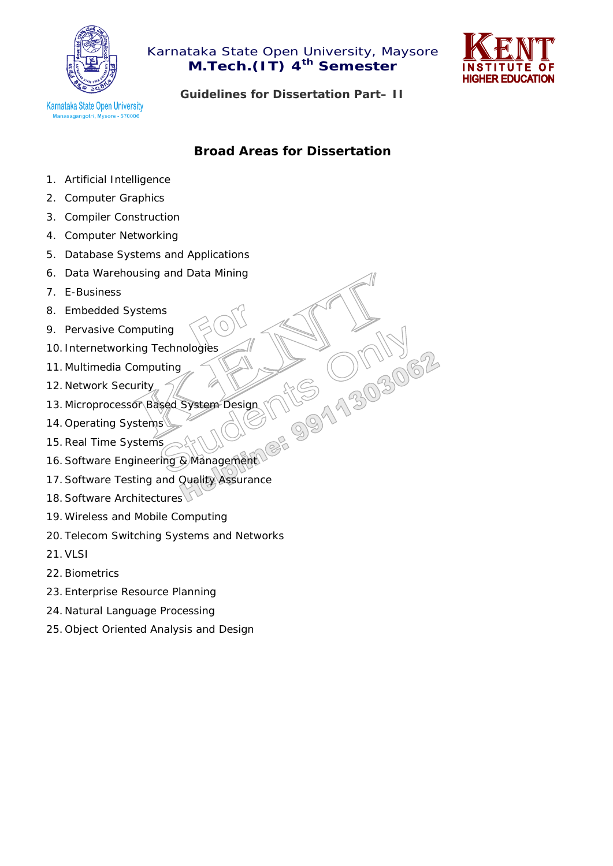



**Guidelines for Dissertation Part– II** 

# **Broad Areas for Dissertation**

NEW 0119

- 1. Artificial Intelligence
- 2. Computer Graphics
- 3. Compiler Construction
- 4. Computer Networking
- 5. Database Systems and Applications
- 6. Data Warehousing and Data Mining
- 7. E-Business
- 8. Embedded Systems
- 9. Pervasive Computing
- 10. Internetworking Technologies
- 11. Multimedia Computing
- 12. Network Security
- 13. Microprocessor Based System Design
- 14. Operating Systems
- 15.Real Time Systems
- 16. Software Engineering & Management
- 17.Software Testing and Quality Assurance
- 18. Software Architectures
- 19.Wireless and Mobile Computing
- 20. Telecom Switching Systems and Networks
- 21.VLSI
- 22.Biometrics
- 23. Enterprise Resource Planning
- 24. Natural Language Processing
- 25. Object Oriented Analysis and Design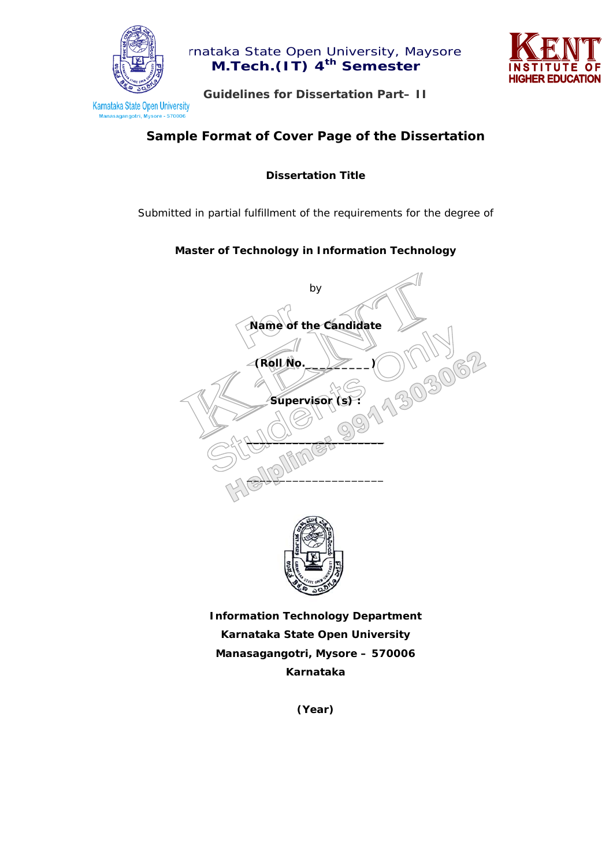

mataka State Open University, Maysore **M.Tech.(IT) 4th Semester** 



**Guidelines for Dissertation Part– II** 

# **Sample Format of Cover Page of the Dissertation**

**Dissertation Title** 

*Submitted in partial fulfillment of the requirements for the degree of* 

## **Master of Technology in Information Technology**



**Information Technology Department Karnataka State Open University Manasagangotri, Mysore – 570006 Karnataka** 

**(Year)**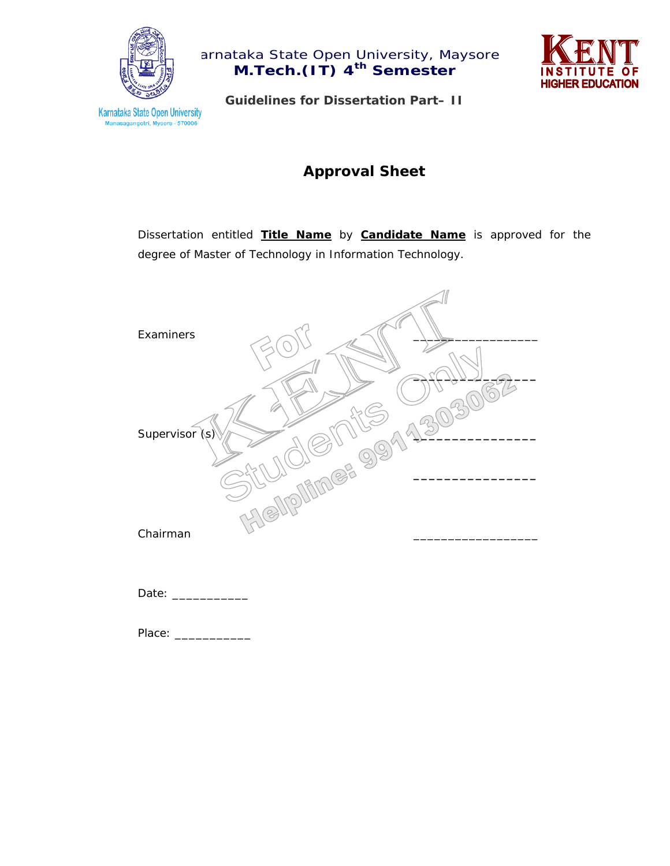



**Guidelines for Dissertation Part– II** 

# **Approval Sheet**

Dissertation entitled **Title Name** by **Candidate Name** is approved for the degree of Master of Technology in Information Technology.



Date: \_\_\_\_\_\_\_\_\_\_\_

Place: \_\_\_\_\_\_\_\_\_\_\_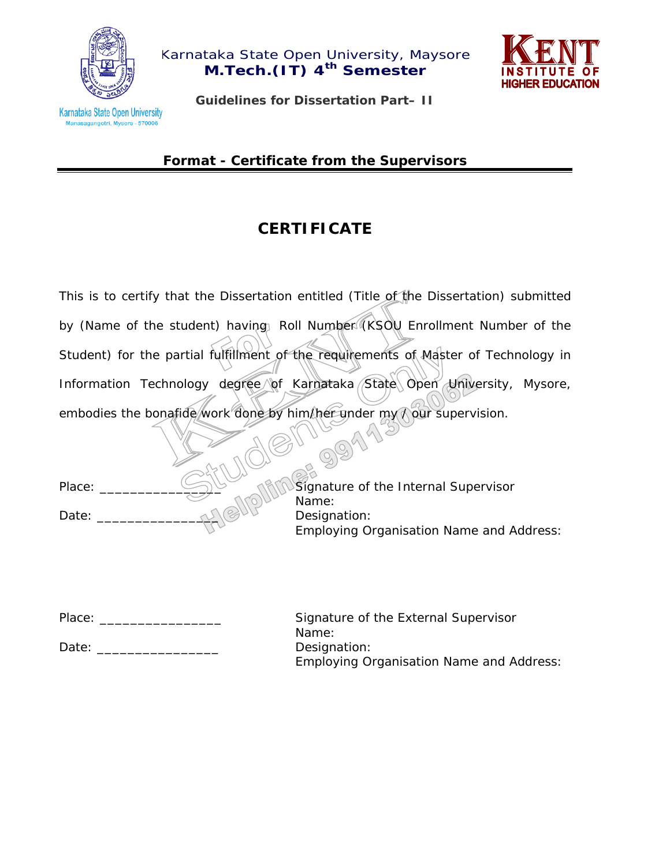



Karnataka State Open University nasagangotri, Mysore - 570006

**Guidelines for Dissertation Part– II** 

*Format - Certificate from the Supervisors*

# **CERTIFICATE**

This is to certify that the Dissertation entitled (Title of the Dissertation) submitted by (Name of the student) having Roll Number (KSOU Enrollment Number of the Student) for the partial fulfillment of the requirements of Master of Technology in Information Technology degree of Karnataka State Open University, Mysore, embodies the bonafide work done by him/her under my ? our supervision.

99

Place: \_\_\_\_\_\_\_\_\_\_\_\_\_\_\_\_ Signature of the Internal Supervisor Name: Date: \_\_\_\_\_\_\_\_\_\_\_\_\_\_\_\_ Designation: Employing Organisation Name and Address:

Place: \_\_\_\_\_\_\_\_\_\_\_\_\_\_\_\_ Signature of the External Supervisor Name: Date: Date: Designation: Employing Organisation Name and Address: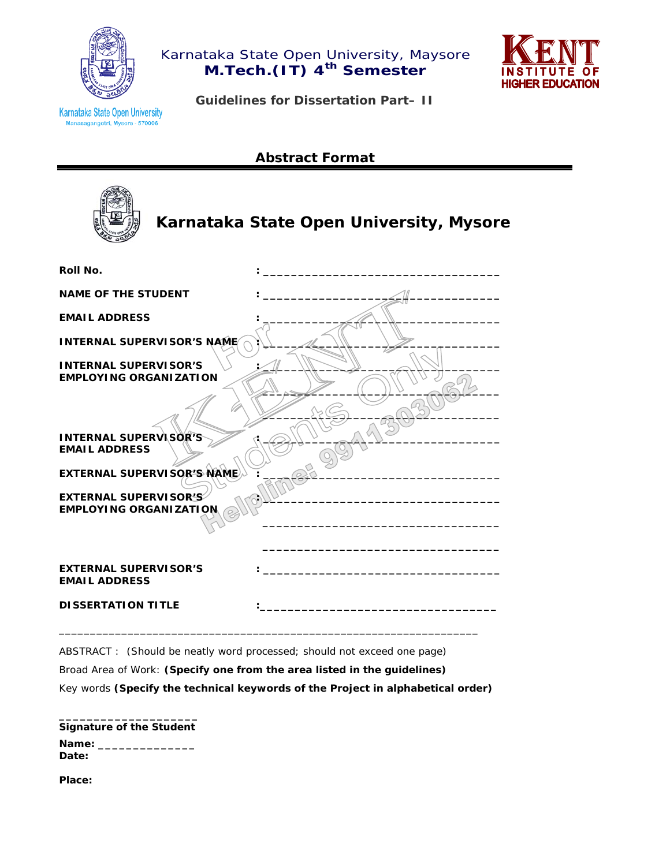



**Karnataka State Open University** asagangotri, Mysore - 570006

**Guidelines for Dissertation Part– II** 

# **Abstract Format**



# **Karnataka State Open University, Mysore**

| Roll No.                                                      |  |
|---------------------------------------------------------------|--|
| <b>NAME OF THE STUDENT</b>                                    |  |
| <b>EMAIL ADDRESS</b>                                          |  |
| <b>INTERNAL SUPERVISOR'S NAME</b>                             |  |
| <b>INTERNAL SUPERVISOR'S</b><br><b>EMPLOYING ORGANIZATION</b> |  |
| <b>INTERNAL SUPERVISOR'S</b><br><b>EMAIL ADDRESS</b>          |  |
| <b>EXTERNAL SUPERVISOR'S NAME</b>                             |  |
| <b>EXTERNAL SUPERVISOR'S</b><br><b>EMPLOYING ORGANIZATION</b> |  |
| <b>EXTERNAL SUPERVISOR'S</b><br><b>EMAIL ADDRESS</b>          |  |
| <b>DISSERTATION TITLE</b>                                     |  |

ABSTRACT : (Should be neatly word processed; should not exceed one page)

Broad Area of Work: **(Specify one from the area listed in the guidelines)**

Key words **(Specify the technical keywords of the Project in alphabetical order)** 

\_\_\_\_\_\_\_\_\_\_\_\_\_\_\_\_\_\_\_\_\_\_\_\_\_\_\_\_\_\_\_\_\_\_\_\_\_\_\_\_\_\_\_\_\_\_\_\_\_\_\_\_\_\_\_\_\_\_\_\_\_\_\_\_\_\_\_

| <b>Signature of the Student</b> |
|---------------------------------|
| Name:<br>Date:                  |

**Place:**